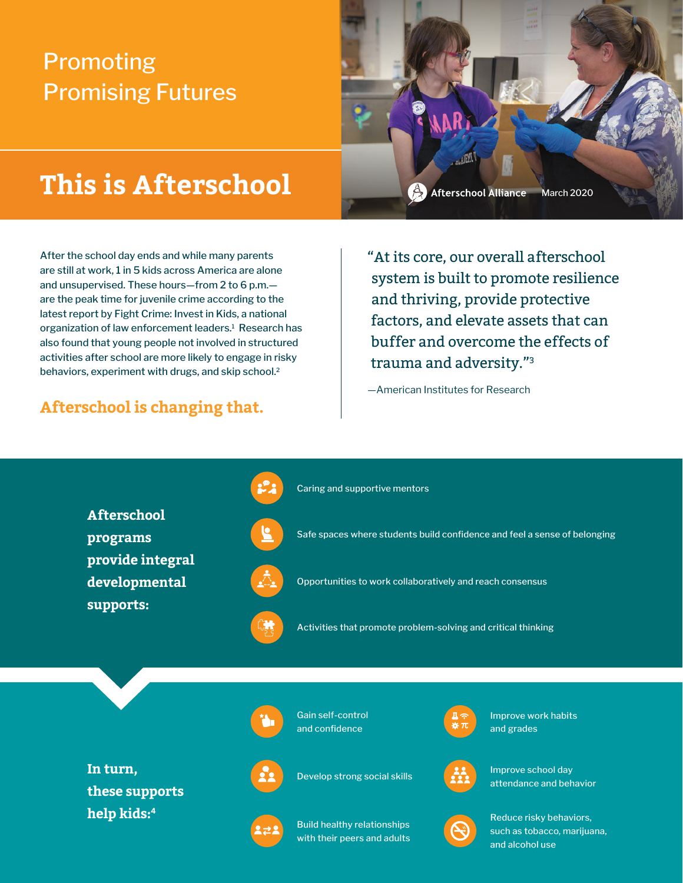## Promoting Promising Futures

# **This is Afterschool**

After the school day ends and while many parents are still at work, 1 in 5 kids across America are alone and unsupervised. These hours—from 2 to 6 p.m. are the peak time for juvenile crime according to the latest report by Fight Crime: Invest in Kids, a national organization of law enforcement leaders.<sup>1</sup> Research has also found that young people not involved in structured activities after school are more likely to engage in risky behaviors, experiment with drugs, and skip school.<sup>2</sup>

### **Afterschool is changing that.**

Afterschool Alliance March 2020

"At its core, our overall afterschool system is built to promote resilience and thriving, provide protective factors, and elevate assets that can buffer and overcome the effects of trauma and adversity."3

—American Institutes for Research

**Afterschool programs provide integral developmental supports:**



Caring and supportive mentors

Safe spaces where students build confidence and feel a sense of belonging



Opportunities to work collaboratively and reach consensus



Activities that promote problem-solving and critical thinking

**In turn, these supports help kids:4**



Gain self-control and confidence

Build healthy relationships with their peers and adults



Improve work habits and grades



Develop strong social skills **IMPROVE SCHOOL ASSESS** attendance and behavior



Reduce risky behaviors, such as tobacco, marijuana, and alcohol use